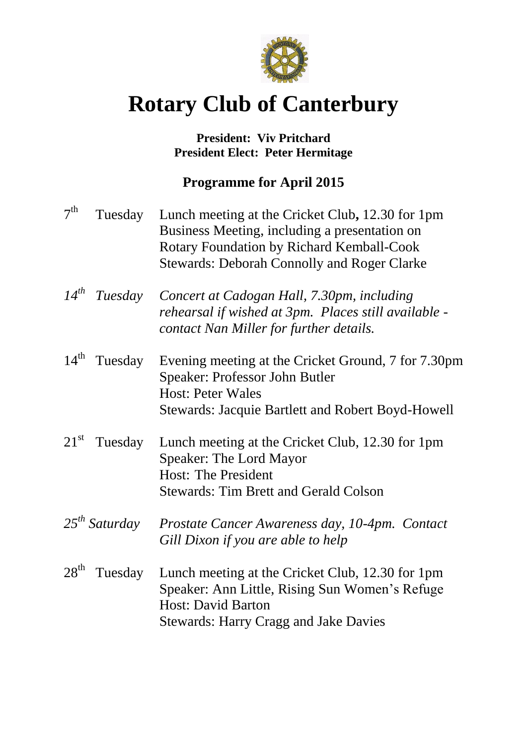

# **Rotary Club of Canterbury**

### **President: Viv Pritchard President Elect: Peter Hermitage**

## **Programme for April 2015**

| 7 <sup>th</sup>  | Tuesday            | Lunch meeting at the Cricket Club, 12.30 for 1pm<br>Business Meeting, including a presentation on<br>Rotary Foundation by Richard Kemball-Cook<br><b>Stewards: Deborah Connolly and Roger Clarke</b> |
|------------------|--------------------|------------------------------------------------------------------------------------------------------------------------------------------------------------------------------------------------------|
| $14^{th}$        | Tuesday            | Concert at Cadogan Hall, 7.30pm, including<br>rehearsal if wished at 3pm. Places still available -<br>contact Nan Miller for further details.                                                        |
| $14^{\text{th}}$ | Tuesday            | Evening meeting at the Cricket Ground, 7 for 7.30pm<br><b>Speaker: Professor John Butler</b><br><b>Host: Peter Wales</b><br>Stewards: Jacquie Bartlett and Robert Boyd-Howell                        |
| $21^{\rm st}$    | Tuesday            | Lunch meeting at the Cricket Club, 12.30 for 1pm<br><b>Speaker: The Lord Mayor</b><br><b>Host: The President</b><br><b>Stewards: Tim Brett and Gerald Colson</b>                                     |
|                  | $25^{th}$ Saturday | Prostate Cancer Awareness day, 10-4pm. Contact<br>Gill Dixon if you are able to help                                                                                                                 |
| $28^{\text{th}}$ | Tuesday            | Lunch meeting at the Cricket Club, 12.30 for 1pm<br>Speaker: Ann Little, Rising Sun Women's Refuge<br><b>Host: David Barton</b><br><b>Stewards: Harry Cragg and Jake Davies</b>                      |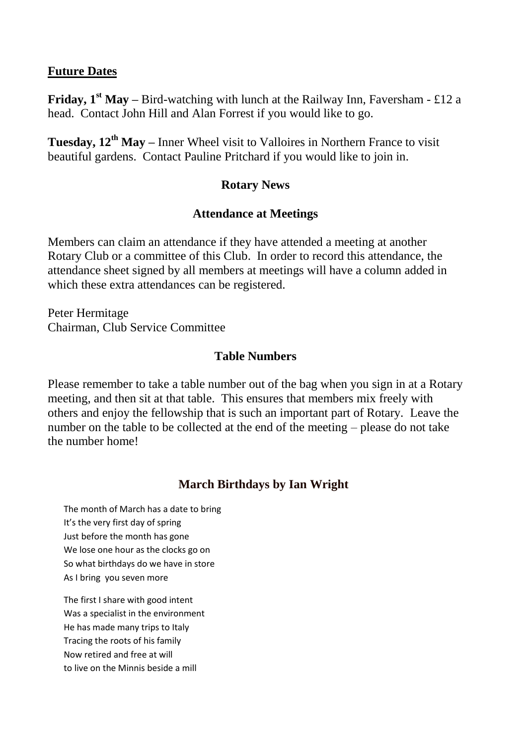#### **Future Dates**

**Friday, 1<sup>st</sup> May** – Bird-watching with lunch at the Railway Inn, Faversham - £12 a head. Contact John Hill and Alan Forrest if you would like to go.

**Tuesday, 12th May –** Inner Wheel visit to Valloires in Northern France to visit beautiful gardens. Contact Pauline Pritchard if you would like to join in.

#### **Rotary News**

#### **Attendance at Meetings**

Members can claim an attendance if they have attended a meeting at another Rotary Club or a committee of this Club. In order to record this attendance, the attendance sheet signed by all members at meetings will have a column added in which these extra attendances can be registered.

Peter Hermitage Chairman, Club Service Committee

#### **Table Numbers**

Please remember to take a table number out of the bag when you sign in at a Rotary meeting, and then sit at that table. This ensures that members mix freely with others and enjoy the fellowship that is such an important part of Rotary. Leave the number on the table to be collected at the end of the meeting – please do not take the number home!

#### **March Birthdays by Ian Wright**

The month of March has a date to bring It's the very first day of spring Just before the month has gone We lose one hour as the clocks go on So what birthdays do we have in store As I bring you seven more

The first I share with good intent Was a specialist in the environment He has made many trips to Italy Tracing the roots of his family Now retired and free at will to live on the Minnis beside a mill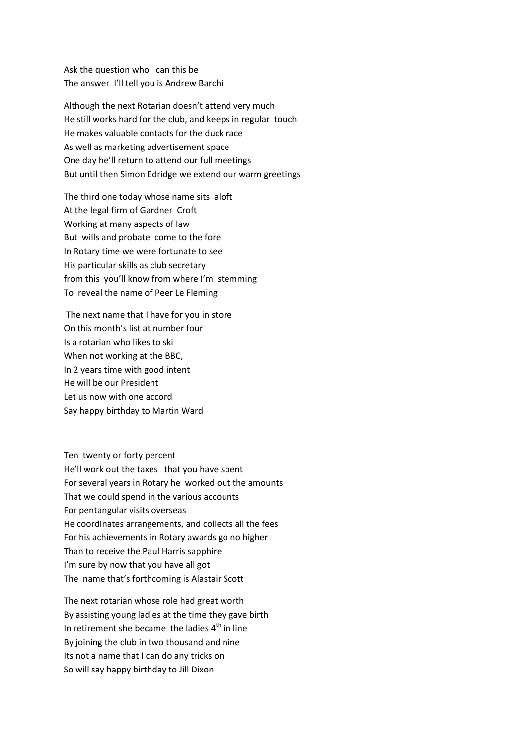Ask the question who can this be The answer I'll tell you is Andrew Barchi

Although the next Rotarian doesn't attend very much He still works hard for the club, and keeps in regular touch He makes valuable contacts for the duck race As well as marketing advertisement space One day he'll return to attend our full meetings But until then Simon Edridge we extend our warm greetings

The third one today whose name sits aloft At the legal firm of Gardner Croft Working at many aspects of law But wills and probate come to the fore In Rotary time we were fortunate to see His particular skills as club secretary from this you'll know from where I'm stemming To reveal the name of Peer Le Fleming

The next name that I have for you in store On this month's list at number four Is a rotarian who likes to ski When not working at the BBC, In 2 years time with good intent He will be our President Let us now with one accord Say happy birthday to Martin Ward

Ten twenty or forty percent He'll work out the taxes that you have spent For several years in Rotary he worked out the amounts That we could spend in the various accounts For pentangular visits overseas He coordinates arrangements, and collects all the fees For his achievements in Rotary awards go no higher Than to receive the Paul Harris sapphire I'm sure by now that you have all got The name that's forthcoming is Alastair Scott

The next rotarian whose role had great worth By assisting young ladies at the time they gave birth In retirement she became the ladies  $4<sup>th</sup>$  in line By joining the club in two thousand and nine Its not a name that I can do any tricks on So will say happy birthday to Jill Dixon